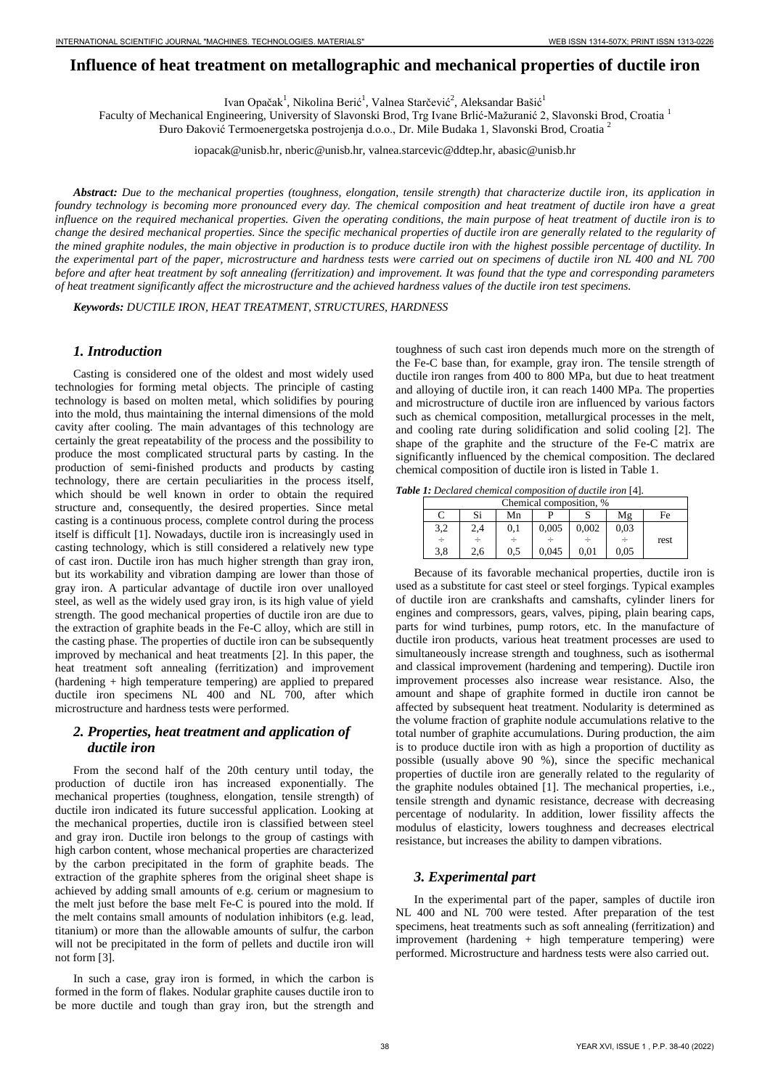# **Influence of heat treatment on metallographic and mechanical properties of ductile iron**

Ivan Opačak<sup>1</sup>, Nikolina Berić<sup>1</sup>, Valnea Starčević<sup>2</sup>, Aleksandar Bašić<sup>1</sup>

Faculty of Mechanical Engineering, University of Slavonski Brod, Trg Ivane Brlić-Mažuranić 2, Slavonski Brod, Croatia <sup>1</sup> Đuro Đaković Termoenergetska postrojenja d.o.o., Dr. Mile Budaka 1, Slavonski Brod, Croatia <sup>2</sup>

iopacak@unisb.hr, nberic@unisb.hr, [valnea.starcevic@ddtep.hr,](valnea.starcevic@ddtep.hr) [abasic@unisb.hr](mailto:abasic@unisb.hr)

*Abstract: Due to the mechanical properties (toughness, elongation, tensile strength) that characterize ductile iron, its application in foundry technology is becoming more pronounced every day. The chemical composition and heat treatment of ductile iron have a great influence on the required mechanical properties. Given the operating conditions, the main purpose of heat treatment of ductile iron is to change the desired mechanical properties. Since the specific mechanical properties of ductile iron are generally related to the regularity of the mined graphite nodules, the main objective in production is to produce ductile iron with the highest possible percentage of ductility. In the experimental part of the paper, microstructure and hardness tests were carried out on specimens of ductile iron NL 400 and NL 700 before and after heat treatment by soft annealing (ferritization) and improvement. It was found that the type and corresponding parameters of heat treatment significantly affect the microstructure and the achieved hardness values of the ductile iron test specimens.*

*Keywords: DUCTILE IRON, HEAT TREATMENT, STRUCTURES, HARDNESS* 

## *1. Introduction*

Casting is considered one of the oldest and most widely used technologies for forming metal objects. The principle of casting technology is based on molten metal, which solidifies by pouring into the mold, thus maintaining the internal dimensions of the mold cavity after cooling. The main advantages of this technology are certainly the great repeatability of the process and the possibility to produce the most complicated structural parts by casting. In the production of semi-finished products and products by casting technology, there are certain peculiarities in the process itself, which should be well known in order to obtain the required structure and, consequently, the desired properties. Since metal casting is a continuous process, complete control during the process itself is difficult [1]. Nowadays, ductile iron is increasingly used in casting technology, which is still considered a relatively new type of cast iron. Ductile iron has much higher strength than gray iron, but its workability and vibration damping are lower than those of gray iron. A particular advantage of ductile iron over unalloyed steel, as well as the widely used gray iron, is its high value of yield strength. The good mechanical properties of ductile iron are due to the extraction of graphite beads in the Fe-C alloy, which are still in the casting phase. The properties of ductile iron can be subsequently improved by mechanical and heat treatments [2]. In this paper, the heat treatment soft annealing (ferritization) and improvement (hardening + high temperature tempering) are applied to prepared ductile iron specimens NL 400 and NL 700, after which microstructure and hardness tests were performed.

## *2. Properties, heat treatment and application of ductile iron*

From the second half of the 20th century until today, the production of ductile iron has increased exponentially. The mechanical properties (toughness, elongation, tensile strength) of ductile iron indicated its future successful application. Looking at the mechanical properties, ductile iron is classified between steel and gray iron. Ductile iron belongs to the group of castings with high carbon content, whose mechanical properties are characterized by the carbon precipitated in the form of graphite beads. The extraction of the graphite spheres from the original sheet shape is achieved by adding small amounts of e.g. cerium or magnesium to the melt just before the base melt Fe-C is poured into the mold. If the melt contains small amounts of nodulation inhibitors (e.g. lead, titanium) or more than the allowable amounts of sulfur, the carbon will not be precipitated in the form of pellets and ductile iron will not form [3].

In such a case, gray iron is formed, in which the carbon is formed in the form of flakes. Nodular graphite causes ductile iron to be more ductile and tough than gray iron, but the strength and toughness of such cast iron depends much more on the strength of the Fe-C base than, for example, gray iron. The tensile strength of ductile iron ranges from 400 to 800 MPa, but due to heat treatment and alloying of ductile iron, it can reach 1400 MPa. The properties and microstructure of ductile iron are influenced by various factors such as chemical composition, metallurgical processes in the melt, and cooling rate during solidification and solid cooling [2]. The shape of the graphite and the structure of the Fe-C matrix are significantly influenced by the chemical composition. The declared chemical composition of ductile iron is listed in Table 1.

*Table 1: Declared chemical composition of ductile iron* [4]*.* 

| Chemical composition, % |     |     |       |       |      |      |
|-------------------------|-----|-----|-------|-------|------|------|
|                         | Si  | Mn  |       |       | Mε   | Fe   |
| 3,2                     | 2.4 | 0,1 | 0,005 | 0.002 | 0.03 |      |
| ÷                       | ÷   |     |       |       |      | rest |
| 3.8                     | 2.6 | 0.5 | 0.045 | 0.01  | 0.05 |      |

Because of its favorable mechanical properties, ductile iron is used as a substitute for cast steel or steel forgings. Typical examples of ductile iron are crankshafts and camshafts, cylinder liners for engines and compressors, gears, valves, piping, plain bearing caps, parts for wind turbines, pump rotors, etc. In the manufacture of ductile iron products, various heat treatment processes are used to simultaneously increase strength and toughness, such as isothermal and classical improvement (hardening and tempering). Ductile iron improvement processes also increase wear resistance. Also, the amount and shape of graphite formed in ductile iron cannot be affected by subsequent heat treatment. Nodularity is determined as the volume fraction of graphite nodule accumulations relative to the total number of graphite accumulations. During production, the aim is to produce ductile iron with as high a proportion of ductility as possible (usually above 90 %), since the specific mechanical properties of ductile iron are generally related to the regularity of the graphite nodules obtained [1]. The mechanical properties, i.e., tensile strength and dynamic resistance, decrease with decreasing percentage of nodularity. In addition, lower fissility affects the modulus of elasticity, lowers toughness and decreases electrical resistance, but increases the ability to dampen vibrations.

## *3. Experimental part*

In the experimental part of the paper, samples of ductile iron NL 400 and NL 700 were tested. After preparation of the test specimens, heat treatments such as soft annealing (ferritization) and improvement (hardening + high temperature tempering) were performed. Microstructure and hardness tests were also carried out.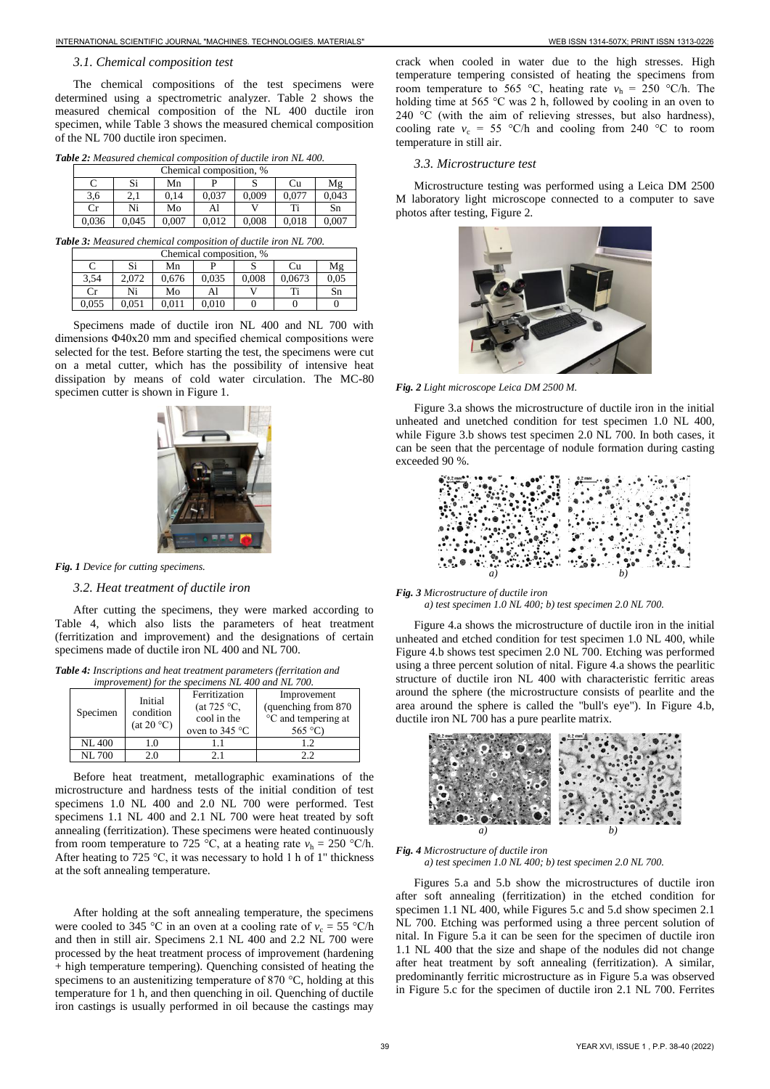#### *3.1. Chemical composition test*

The chemical compositions of the test specimens were determined using a spectrometric analyzer. Table 2 shows the measured chemical composition of the NL 400 ductile iron specimen, while Table 3 shows the measured chemical composition of the NL 700 ductile iron specimen.

*Table 2: Measured chemical composition of ductile iron NL 400.* 

|                | Chemical composition, % |       |       |       |       |       |       |
|----------------|-------------------------|-------|-------|-------|-------|-------|-------|
| Si<br>Mn<br>Cu |                         |       |       |       |       |       | Mε    |
|                | 3,6                     | 2.1   | 0.14  | 0.037 | 0.009 | 0.077 | 0.043 |
|                | $_{\rm Cr}$             | Ni    | Mo    | Al    |       | Ti    | Sn    |
|                | 0.036                   | 0.045 | 0,007 | 0.012 | 0,008 | 0.018 | 0.007 |

*Table 3: Measured chemical composition of ductile iron NL 700.* 

| Chemical composition, % |       |       |       |       |        |      |
|-------------------------|-------|-------|-------|-------|--------|------|
|                         | Si    | Mn    |       |       | Сu     | Mε   |
| 3.54                    | 2.072 | 0.676 | 0.035 | 0.008 | 0.0673 | 0.05 |
| $_{\rm Cr}$             | Ni    | Mo    | Al    |       | ፐ'     | Sn   |
| 0.055                   | 0.051 | 0.011 | 0.010 |       |        |      |

Specimens made of ductile iron NL 400 and NL 700 with dimensions Φ40x20 mm and specified chemical compositions were selected for the test. Before starting the test, the specimens were cut on a metal cutter, which has the possibility of intensive heat dissipation by means of cold water circulation. The MC-80 specimen cutter is shown in Figure 1.



*Fig. 1 Device for cutting specimens.* 

## *3.2. Heat treatment of ductile iron*

After cutting the specimens, they were marked according to Table 4, which also lists the parameters of heat treatment (ferritization and improvement) and the designations of certain specimens made of ductile iron NL 400 and NL 700.

*Table 4: Inscriptions and heat treatment parameters (ferritation and improvement) for the specimens NL 400 and NL 700.* 

| Specimen      | Initial<br>condition<br>(at 20 °C) | Ferritization<br>(at $725 \text{ °C}$ )<br>cool in the<br>oven to $345^{\circ}$ C | Improvement<br>(quenching from 870)<br>°C and tempering at<br>565 $\degree$ C) |
|---------------|------------------------------------|-----------------------------------------------------------------------------------|--------------------------------------------------------------------------------|
| <b>NL 400</b> | 1.0                                |                                                                                   | 1.2.                                                                           |
| <b>NL700</b>  | 20                                 | 21                                                                                | າ າ                                                                            |

Before heat treatment, metallographic examinations of the microstructure and hardness tests of the initial condition of test specimens 1.0 NL 400 and 2.0 NL 700 were performed. Test specimens 1.1 NL 400 and 2.1 NL 700 were heat treated by soft annealing (ferritization). These specimens were heated continuously from room temperature to 725 °C, at a heating rate  $v_h = 250$  °C/h. After heating to 725 °C, it was necessary to hold 1 h of 1" thickness at the soft annealing temperature.

After holding at the soft annealing temperature, the specimens were cooled to 345 °C in an oven at a cooling rate of  $v_c = 55$  °C/h and then in still air. Specimens 2.1 NL 400 and 2.2 NL 700 were processed by the heat treatment process of improvement (hardening + high temperature tempering). Quenching consisted of heating the specimens to an austenitizing temperature of 870 °C, holding at this temperature for 1 h, and then quenching in oil. Quenching of ductile iron castings is usually performed in oil because the castings may

crack when cooled in water due to the high stresses. High temperature tempering consisted of heating the specimens from room temperature to 565 °C, heating rate  $v<sub>h</sub> = 250$  °C/h. The holding time at 565 °C was 2 h, followed by cooling in an oven to 240  $\degree$ C (with the aim of relieving stresses, but also hardness), cooling rate  $v_c = 55$  °C/h and cooling from 240 °C to room temperature in still air.

#### *3.3. Microstructure test*

Microstructure testing was performed using a Leica DM 2500 M laboratory light microscope connected to a computer to save photos after testing, Figure 2.



*Fig. 2 Light microscope Leica DM 2500 M.* 

Figure 3.a shows the microstructure of ductile iron in the initial unheated and unetched condition for test specimen 1.0 NL 400, while Figure 3.b shows test specimen 2.0 NL 700. In both cases, it can be seen that the percentage of nodule formation during casting exceeded 90 %.



*Fig. 3 Microstructure of ductile iron* 

 *a) test specimen 1.0 NL 400; b) test specimen 2.0 NL 700.* 

Figure 4.a shows the microstructure of ductile iron in the initial unheated and etched condition for test specimen 1.0 NL 400, while Figure 4.b shows test specimen 2.0 NL 700. Etching was performed using a three percent solution of nital. Figure 4.a shows the pearlitic structure of ductile iron NL 400 with characteristic ferritic areas around the sphere (the microstructure consists of pearlite and the area around the sphere is called the "bull's eye"). In Figure 4.b, ductile iron NL 700 has a pure pearlite matrix.



#### *Fig. 4 Microstructure of ductile iron a) test specimen 1.0 NL 400; b) test specimen 2.0 NL 700.*

Figures 5.a and 5.b show the microstructures of ductile iron after soft annealing (ferritization) in the etched condition for specimen 1.1 NL 400, while Figures 5.c and 5.d show specimen 2.1 NL 700. Etching was performed using a three percent solution of nital. In Figure 5.a it can be seen for the specimen of ductile iron 1.1 NL 400 that the size and shape of the nodules did not change after heat treatment by soft annealing (ferritization). A similar, predominantly ferritic microstructure as in Figure 5.a was observed in Figure 5.c for the specimen of ductile iron 2.1 NL 700. Ferrites